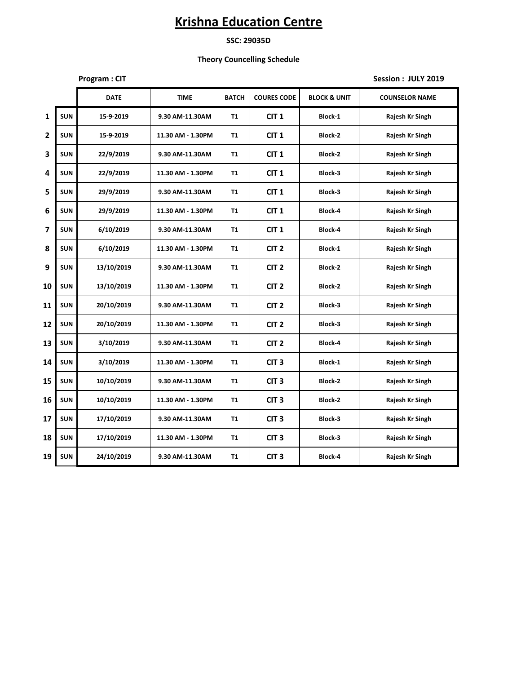### **SSC: 29035D**

### **Theory Councelling Schedule**

|              |            | <b>Program: CIT</b> |                   |              | Session: JULY 2019 |                         |                       |
|--------------|------------|---------------------|-------------------|--------------|--------------------|-------------------------|-----------------------|
|              |            | <b>DATE</b>         | <b>TIME</b>       | <b>BATCH</b> | <b>COURES CODE</b> | <b>BLOCK &amp; UNIT</b> | <b>COUNSELOR NAME</b> |
| $\mathbf{1}$ | <b>SUN</b> | 15-9-2019           | 9.30 AM-11.30AM   | <b>T1</b>    | CIT <sub>1</sub>   | Block-1                 | Rajesh Kr Singh       |
| $\mathbf{2}$ | <b>SUN</b> | 15-9-2019           | 11.30 AM - 1.30PM | <b>T1</b>    | CIT <sub>1</sub>   | <b>Block-2</b>          | Rajesh Kr Singh       |
| 3            | <b>SUN</b> | 22/9/2019           | 9.30 AM-11.30AM   | <b>T1</b>    | CIT <sub>1</sub>   | Block-2                 | Rajesh Kr Singh       |
| 4            | <b>SUN</b> | 22/9/2019           | 11.30 AM - 1.30PM | <b>T1</b>    | CIT <sub>1</sub>   | Block-3                 | Rajesh Kr Singh       |
| 5            | <b>SUN</b> | 29/9/2019           | 9.30 AM-11.30AM   | <b>T1</b>    | CIT <sub>1</sub>   | Block-3                 | Rajesh Kr Singh       |
| 6            | <b>SUN</b> | 29/9/2019           | 11.30 AM - 1.30PM | <b>T1</b>    | CIT <sub>1</sub>   | Block-4                 | Rajesh Kr Singh       |
| 7            | <b>SUN</b> | 6/10/2019           | 9.30 AM-11.30AM   | <b>T1</b>    | CIT <sub>1</sub>   | Block-4                 | Rajesh Kr Singh       |
| 8            | <b>SUN</b> | 6/10/2019           | 11.30 AM - 1.30PM | <b>T1</b>    | CIT <sub>2</sub>   | Block-1                 | Rajesh Kr Singh       |
| 9            | <b>SUN</b> | 13/10/2019          | 9.30 AM-11.30AM   | <b>T1</b>    | CIT <sub>2</sub>   | Block-2                 | Rajesh Kr Singh       |
| 10           | <b>SUN</b> | 13/10/2019          | 11.30 AM - 1.30PM | <b>T1</b>    | CIT <sub>2</sub>   | <b>Block-2</b>          | Rajesh Kr Singh       |
| 11           | <b>SUN</b> | 20/10/2019          | 9.30 AM-11.30AM   | <b>T1</b>    | CIT <sub>2</sub>   | Block-3                 | Rajesh Kr Singh       |
| 12           | <b>SUN</b> | 20/10/2019          | 11.30 AM - 1.30PM | T1           | CIT <sub>2</sub>   | Block-3                 | Rajesh Kr Singh       |
| 13           | <b>SUN</b> | 3/10/2019           | 9.30 AM-11.30AM   | <b>T1</b>    | CIT <sub>2</sub>   | Block-4                 | Rajesh Kr Singh       |
| 14           | <b>SUN</b> | 3/10/2019           | 11.30 AM - 1.30PM | <b>T1</b>    | CIT <sub>3</sub>   | Block-1                 | Rajesh Kr Singh       |
| 15           | <b>SUN</b> | 10/10/2019          | 9.30 AM-11.30AM   | <b>T1</b>    | CIT <sub>3</sub>   | Block-2                 | Rajesh Kr Singh       |
| 16           | <b>SUN</b> | 10/10/2019          | 11.30 AM - 1.30PM | <b>T1</b>    | CIT <sub>3</sub>   | Block-2                 | Rajesh Kr Singh       |
| 17           | <b>SUN</b> | 17/10/2019          | 9.30 AM-11.30AM   | <b>T1</b>    | CIT <sub>3</sub>   | Block-3                 | Rajesh Kr Singh       |
| 18           | <b>SUN</b> | 17/10/2019          | 11.30 AM - 1.30PM | T1           | CIT <sub>3</sub>   | Block-3                 | Rajesh Kr Singh       |
| 19           | <b>SUN</b> | 24/10/2019          | 9.30 AM-11.30AM   | T1           | CIT <sub>3</sub>   | Block-4                 | Rajesh Kr Singh       |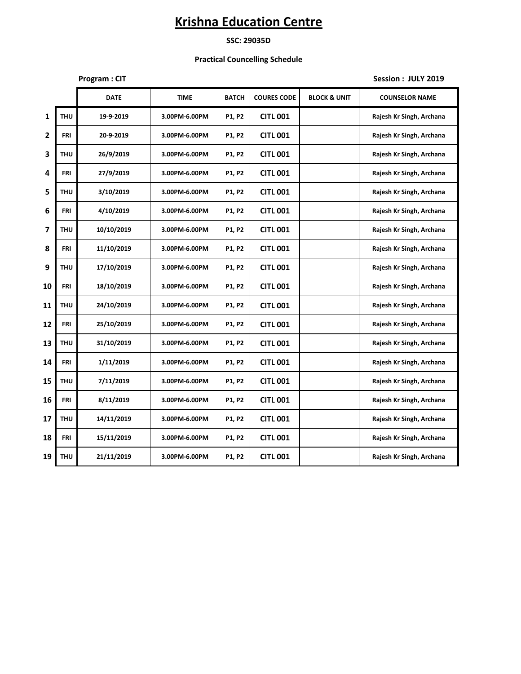### **SSC: 29035D**

### **Practical Councelling Schedule**

| Program: CIT | Session: JULY 2019 |              |                    |                         |                          |
|--------------|--------------------|--------------|--------------------|-------------------------|--------------------------|
| <b>DATE</b>  | <b>TIME</b>        | <b>BATCH</b> | <b>COURES CODE</b> | <b>BLOCK &amp; UNIT</b> | <b>COUNSELOR NAME</b>    |
| 19-9-2019    | 3.00PM-6.00PM      | <b>P1.P2</b> | <b>CITL 001</b>    |                         | Rajesh Kr Singh, Archana |
|              |                    |              |                    |                         |                          |

|                         |            | <b>DATE</b> | <b>TIME</b>   | <b>BATCH</b> | <b>COURES CODE</b> | <b>BLOCK &amp; UNIT</b> | <b>COUNSELOR NAME</b>    |
|-------------------------|------------|-------------|---------------|--------------|--------------------|-------------------------|--------------------------|
| $\mathbf{1}$            | <b>THU</b> | 19-9-2019   | 3.00PM-6.00PM | P1, P2       | <b>CITL 001</b>    |                         | Rajesh Kr Singh, Archana |
| $\mathbf{2}$            | <b>FRI</b> | 20-9-2019   | 3.00PM-6.00PM | P1, P2       | <b>CITL 001</b>    |                         | Rajesh Kr Singh, Archana |
| 3                       | <b>THU</b> | 26/9/2019   | 3.00PM-6.00PM | P1, P2       | <b>CITL 001</b>    |                         | Rajesh Kr Singh, Archana |
| 4                       | <b>FRI</b> | 27/9/2019   | 3.00PM-6.00PM | P1, P2       | <b>CITL 001</b>    |                         | Rajesh Kr Singh, Archana |
| 5                       | <b>THU</b> | 3/10/2019   | 3.00PM-6.00PM | P1, P2       | <b>CITL 001</b>    |                         | Rajesh Kr Singh, Archana |
| 6                       | <b>FRI</b> | 4/10/2019   | 3.00PM-6.00PM | P1, P2       | <b>CITL 001</b>    |                         | Rajesh Kr Singh, Archana |
| $\overline{\mathbf{z}}$ | <b>THU</b> | 10/10/2019  | 3.00PM-6.00PM | P1, P2       | <b>CITL 001</b>    |                         | Rajesh Kr Singh, Archana |
| 8                       | <b>FRI</b> | 11/10/2019  | 3.00PM-6.00PM | P1, P2       | <b>CITL 001</b>    |                         | Rajesh Kr Singh, Archana |
| 9                       | <b>THU</b> | 17/10/2019  | 3.00PM-6.00PM | P1, P2       | <b>CITL 001</b>    |                         | Rajesh Kr Singh, Archana |
| 10                      | <b>FRI</b> | 18/10/2019  | 3.00PM-6.00PM | P1, P2       | <b>CITL 001</b>    |                         | Rajesh Kr Singh, Archana |
| 11                      | <b>THU</b> | 24/10/2019  | 3.00PM-6.00PM | P1, P2       | <b>CITL 001</b>    |                         | Rajesh Kr Singh, Archana |
| 12                      | <b>FRI</b> | 25/10/2019  | 3.00PM-6.00PM | P1, P2       | <b>CITL 001</b>    |                         | Rajesh Kr Singh, Archana |
| 13                      | <b>THU</b> | 31/10/2019  | 3.00PM-6.00PM | P1, P2       | <b>CITL 001</b>    |                         | Rajesh Kr Singh, Archana |
| 14                      | <b>FRI</b> | 1/11/2019   | 3.00PM-6.00PM | P1, P2       | <b>CITL 001</b>    |                         | Rajesh Kr Singh, Archana |
| 15                      | <b>THU</b> | 7/11/2019   | 3.00PM-6.00PM | P1, P2       | <b>CITL 001</b>    |                         | Rajesh Kr Singh, Archana |
| 16                      | <b>FRI</b> | 8/11/2019   | 3.00PM-6.00PM | P1, P2       | <b>CITL 001</b>    |                         | Rajesh Kr Singh, Archana |
| 17                      | <b>THU</b> | 14/11/2019  | 3.00PM-6.00PM | P1, P2       | <b>CITL 001</b>    |                         | Rajesh Kr Singh, Archana |
| 18                      | <b>FRI</b> | 15/11/2019  | 3.00PM-6.00PM | P1, P2       | <b>CITL 001</b>    |                         | Rajesh Kr Singh, Archana |
| 19                      | <b>THU</b> | 21/11/2019  | 3.00PM-6.00PM | P1, P2       | <b>CITL 001</b>    |                         | Rajesh Kr Singh, Archana |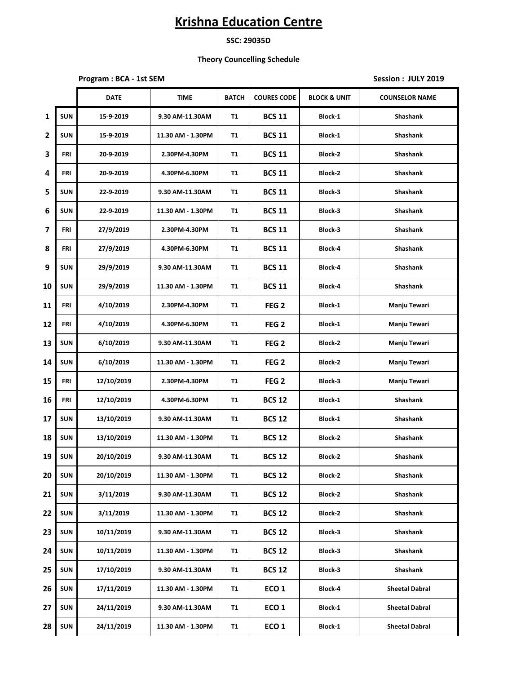### **SSC: 29035D**

### **Theory Councelling Schedule**

**Program : BCA - 1st SEM Session : JULY 2019** 

|                |            | <b>DATE</b> | <b>TIME</b>       | <b>BATCH</b> | <b>COURES CODE</b> | <b>BLOCK &amp; UNIT</b> | <b>COUNSELOR NAME</b> |
|----------------|------------|-------------|-------------------|--------------|--------------------|-------------------------|-----------------------|
| 1              | <b>SUN</b> | 15-9-2019   | 9.30 AM-11.30AM   | <b>T1</b>    | <b>BCS 11</b>      | Block-1                 | <b>Shashank</b>       |
| $\overline{2}$ | <b>SUN</b> | 15-9-2019   | 11.30 AM - 1.30PM | T1           | <b>BCS 11</b>      | Block-1                 | Shashank              |
| 3              | FRI        | 20-9-2019   | 2.30PM-4.30PM     | T1           | <b>BCS 11</b>      | <b>Block-2</b>          | Shashank              |
| 4              | FRI        | 20-9-2019   | 4.30PM-6.30PM     | Τ1           | <b>BCS 11</b>      | Block-2                 | Shashank              |
| 5              | <b>SUN</b> | 22-9-2019   | 9.30 AM-11.30AM   | T1           | <b>BCS 11</b>      | Block-3                 | <b>Shashank</b>       |
| 6              | <b>SUN</b> | 22-9-2019   | 11.30 AM - 1.30PM | <b>T1</b>    | <b>BCS 11</b>      | Block-3                 | <b>Shashank</b>       |
| 7              | FRI        | 27/9/2019   | 2.30PM-4.30PM     | T1           | <b>BCS 11</b>      | Block-3                 | Shashank              |
| 8              | FRI        | 27/9/2019   | 4.30PM-6.30PM     | T1           | <b>BCS 11</b>      | Block-4                 | <b>Shashank</b>       |
| 9              | <b>SUN</b> | 29/9/2019   | 9.30 AM-11.30AM   | T1           | <b>BCS 11</b>      | Block-4                 | Shashank              |
| 10             | <b>SUN</b> | 29/9/2019   | 11.30 AM - 1.30PM | T1           | <b>BCS 11</b>      | Block-4                 | Shashank              |
| 11             | <b>FRI</b> | 4/10/2019   | 2.30PM-4.30PM     | T1           | FEG <sub>2</sub>   | Block-1                 | Manju Tewari          |
| 12             | <b>FRI</b> | 4/10/2019   | 4.30PM-6.30PM     | T1           | FEG <sub>2</sub>   | Block-1                 | Manju Tewari          |
| 13             | <b>SUN</b> | 6/10/2019   | 9.30 AM-11.30AM   | T1           | FEG <sub>2</sub>   | Block-2                 | Manju Tewari          |
| 14             | SUN        | 6/10/2019   | 11.30 AM - 1.30PM | Τ1           | FEG <sub>2</sub>   | Block-2                 | Manju Tewari          |
| 15             | <b>FRI</b> | 12/10/2019  | 2.30PM-4.30PM     | <b>T1</b>    | FEG <sub>2</sub>   | Block-3                 | Manju Tewari          |
| 16             | <b>FRI</b> | 12/10/2019  | 4.30PM-6.30PM     | <b>T1</b>    | <b>BCS 12</b>      | Block-1                 | <b>Shashank</b>       |
| 17             | <b>SUN</b> | 13/10/2019  | 9.30 AM-11.30AM   | T1           | <b>BCS 12</b>      | Block-1                 | Shashank              |
| 18             | <b>SUN</b> | 13/10/2019  | 11.30 AM - 1.30PM | T1           | <b>BCS 12</b>      | Block-2                 | Shashank              |
| 19             | <b>SUN</b> | 20/10/2019  | 9.30 AM-11.30AM   | T1           | <b>BCS 12</b>      | Block-2                 | <b>Shashank</b>       |
| 20             | <b>SUN</b> | 20/10/2019  | 11.30 AM - 1.30PM | T1           | <b>BCS 12</b>      | Block-2                 | Shashank              |
| 21             | <b>SUN</b> | 3/11/2019   | 9.30 AM-11.30AM   | T1           | <b>BCS 12</b>      | Block-2                 | <b>Shashank</b>       |
| 22             | <b>SUN</b> | 3/11/2019   | 11.30 AM - 1.30PM | T1           | <b>BCS 12</b>      | Block-2                 | <b>Shashank</b>       |
| 23             | <b>SUN</b> | 10/11/2019  | 9.30 AM-11.30AM   | T1           | <b>BCS 12</b>      | Block-3                 | Shashank              |
| 24             | <b>SUN</b> | 10/11/2019  | 11.30 AM - 1.30PM | T1           | <b>BCS 12</b>      | Block-3                 | Shashank              |
| 25             | <b>SUN</b> | 17/10/2019  | 9.30 AM-11.30AM   | T1           | <b>BCS 12</b>      | Block-3                 | Shashank              |
| 26             | <b>SUN</b> | 17/11/2019  | 11.30 AM - 1.30PM | T1           | ECO <sub>1</sub>   | Block-4                 | <b>Sheetal Dabral</b> |
| 27             | <b>SUN</b> | 24/11/2019  | 9.30 AM-11.30AM   | T1           | ECO <sub>1</sub>   | Block-1                 | <b>Sheetal Dabral</b> |
| 28             | <b>SUN</b> | 24/11/2019  | 11.30 AM - 1.30PM | T1           | ECO <sub>1</sub>   | Block-1                 | <b>Sheetal Dabral</b> |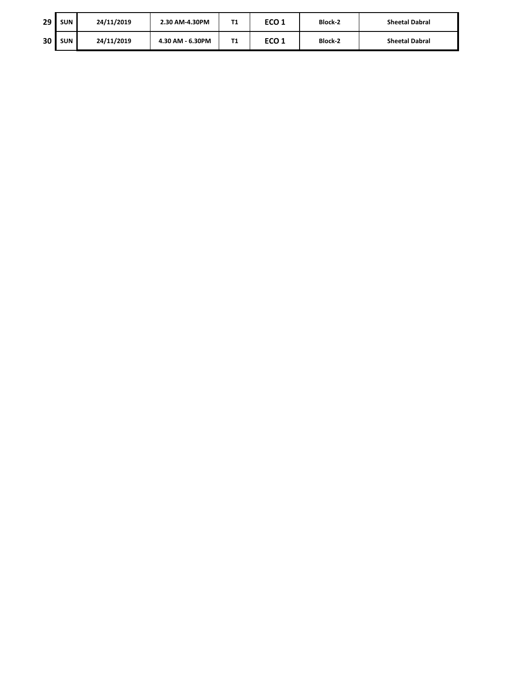| 29 | <b>SUN</b> | 24/11/2019 | 2.30 AM-4.30PM   | . .       | ECO 1 | <b>Block-2</b> | <b>Sheetal Dabral</b> |
|----|------------|------------|------------------|-----------|-------|----------------|-----------------------|
| 30 | <b>SUN</b> | 24/11/2019 | 4.30 AM - 6.30PM | T١<br>. . | ECO 1 | <b>Block-2</b> | <b>Sheetal Dabral</b> |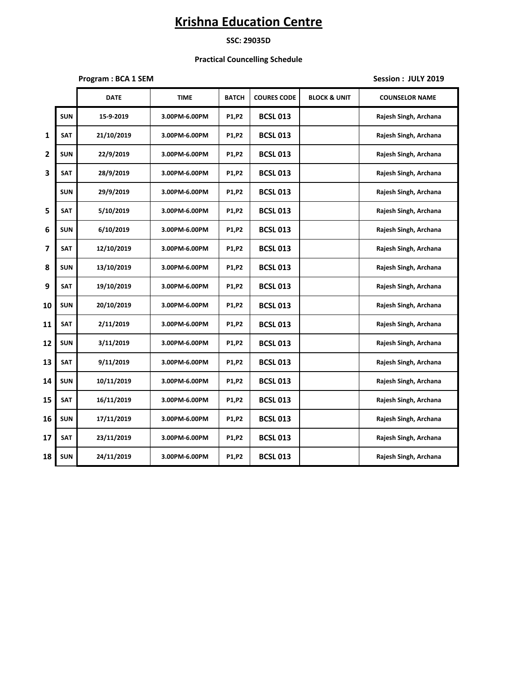### **SSC: 29035D**

### **Practical Councelling Schedule**

**Program : BCA 1 SEM Session : JULY 2019**

|                         |            | <b>DATE</b> | <b>TIME</b>   | <b>BATCH</b> | <b>COURES CODE</b> | <b>BLOCK &amp; UNIT</b> | <b>COUNSELOR NAME</b> |
|-------------------------|------------|-------------|---------------|--------------|--------------------|-------------------------|-----------------------|
|                         | <b>SUN</b> | 15-9-2019   | 3.00PM-6.00PM | P1,P2        | <b>BCSL 013</b>    |                         | Rajesh Singh, Archana |
| $\mathbf{1}$            | <b>SAT</b> | 21/10/2019  | 3.00PM-6.00PM | <b>P1,P2</b> | <b>BCSL 013</b>    |                         | Rajesh Singh, Archana |
| $\mathbf{2}$            | <b>SUN</b> | 22/9/2019   | 3.00PM-6.00PM | P1,P2        | <b>BCSL 013</b>    |                         | Rajesh Singh, Archana |
| 3                       | <b>SAT</b> | 28/9/2019   | 3.00PM-6.00PM | P1,P2        | <b>BCSL 013</b>    |                         | Rajesh Singh, Archana |
|                         | <b>SUN</b> | 29/9/2019   | 3.00PM-6.00PM | P1,P2        | <b>BCSL 013</b>    |                         | Rajesh Singh, Archana |
| 5                       | <b>SAT</b> | 5/10/2019   | 3.00PM-6.00PM | P1,P2        | <b>BCSL 013</b>    |                         | Rajesh Singh, Archana |
| 6                       | <b>SUN</b> | 6/10/2019   | 3.00PM-6.00PM | P1,P2        | <b>BCSL 013</b>    |                         | Rajesh Singh, Archana |
| $\overline{\mathbf{z}}$ | <b>SAT</b> | 12/10/2019  | 3.00PM-6.00PM | <b>P1,P2</b> | <b>BCSL 013</b>    |                         | Rajesh Singh, Archana |
| 8                       | <b>SUN</b> | 13/10/2019  | 3.00PM-6.00PM | P1,P2        | <b>BCSL 013</b>    |                         | Rajesh Singh, Archana |
| 9                       | SAT        | 19/10/2019  | 3.00PM-6.00PM | P1,P2        | <b>BCSL 013</b>    |                         | Rajesh Singh, Archana |
| 10                      | <b>SUN</b> | 20/10/2019  | 3.00PM-6.00PM | P1,P2        | <b>BCSL 013</b>    |                         | Rajesh Singh, Archana |
| 11                      | SAT        | 2/11/2019   | 3.00PM-6.00PM | P1,P2        | <b>BCSL 013</b>    |                         | Rajesh Singh, Archana |
| 12                      | <b>SUN</b> | 3/11/2019   | 3.00PM-6.00PM | P1,P2        | <b>BCSL 013</b>    |                         | Rajesh Singh, Archana |
| 13                      | <b>SAT</b> | 9/11/2019   | 3.00PM-6.00PM | P1,P2        | <b>BCSL 013</b>    |                         | Rajesh Singh, Archana |
| 14                      | <b>SUN</b> | 10/11/2019  | 3.00PM-6.00PM | <b>P1,P2</b> | <b>BCSL 013</b>    |                         | Rajesh Singh, Archana |
| 15                      | <b>SAT</b> | 16/11/2019  | 3.00PM-6.00PM | P1,P2        | <b>BCSL 013</b>    |                         | Rajesh Singh, Archana |
| 16                      | <b>SUN</b> | 17/11/2019  | 3.00PM-6.00PM | P1,P2        | <b>BCSL 013</b>    |                         | Rajesh Singh, Archana |
| 17                      | <b>SAT</b> | 23/11/2019  | 3.00PM-6.00PM | P1, P2       | <b>BCSL 013</b>    |                         | Rajesh Singh, Archana |
| 18                      | <b>SUN</b> | 24/11/2019  | 3.00PM-6.00PM | P1, P2       | <b>BCSL 013</b>    |                         | Rajesh Singh, Archana |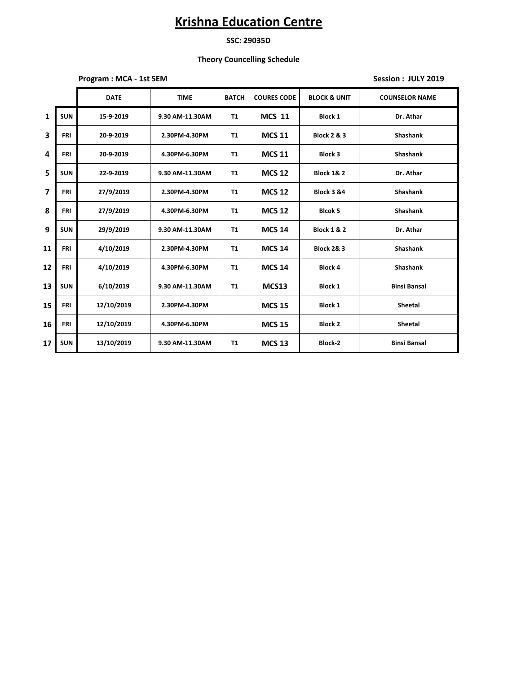### **SSC: 29035D**

### **Theory Councelling Schedule**

**Program : MCA - 1st SEM Session : JULY 2019**

|                         |            | <b>DATE</b> | <b>TIME</b>     | <b>BATCH</b> | <b>COURES CODE</b> | <b>BLOCK &amp; UNIT</b> | <b>COUNSELOR NAME</b> |
|-------------------------|------------|-------------|-----------------|--------------|--------------------|-------------------------|-----------------------|
| $\mathbf{1}$            | <b>SUN</b> | 15-9-2019   | 9.30 AM-11.30AM | <b>T1</b>    | <b>MCS 11</b>      | <b>Block 1</b>          | Dr. Athar             |
| 3                       | <b>FRI</b> | 20-9-2019   | 2.30PM-4.30PM   | <b>T1</b>    | <b>MCS 11</b>      | <b>Block 2 &amp; 3</b>  | <b>Shashank</b>       |
| 4                       | <b>FRI</b> | 20-9-2019   | 4.30PM-6.30PM   | T1           | <b>MCS 11</b>      | <b>Block 3</b>          | <b>Shashank</b>       |
| 5                       | <b>SUN</b> | 22-9-2019   | 9.30 AM-11.30AM | <b>T1</b>    | <b>MCS 12</b>      | <b>Block 1&amp; 2</b>   | Dr. Athar             |
| $\overline{\mathbf{z}}$ | <b>FRI</b> | 27/9/2019   | 2.30PM-4.30PM   | <b>T1</b>    | <b>MCS 12</b>      | <b>Block 3 &amp;4</b>   | <b>Shashank</b>       |
| 8                       | <b>FRI</b> | 27/9/2019   | 4.30PM-6.30PM   | T1           | <b>MCS 12</b>      | <b>Blcok 5</b>          | <b>Shashank</b>       |
| 9                       | <b>SUN</b> | 29/9/2019   | 9.30 AM-11.30AM | <b>T1</b>    | <b>MCS 14</b>      | <b>Block 1 &amp; 2</b>  | Dr. Athar             |
| 11                      | <b>FRI</b> | 4/10/2019   | 2.30PM-4.30PM   | T1           | <b>MCS 14</b>      | <b>Block 2&amp; 3</b>   | <b>Shashank</b>       |
| 12                      | <b>FRI</b> | 4/10/2019   | 4.30PM-6.30PM   | T1           | <b>MCS 14</b>      | <b>Block 4</b>          | <b>Shashank</b>       |
| 13                      | <b>SUN</b> | 6/10/2019   | 9.30 AM-11.30AM | <b>T1</b>    | MCS <sub>13</sub>  | <b>Block 1</b>          | <b>Binsi Bansal</b>   |
| 15                      | <b>FRI</b> | 12/10/2019  | 2.30PM-4.30PM   |              | <b>MCS 15</b>      | <b>Block 1</b>          | <b>Sheetal</b>        |
| 16                      | <b>FRI</b> | 12/10/2019  | 4.30PM-6.30PM   |              | <b>MCS 15</b>      | <b>Block 2</b>          | <b>Sheetal</b>        |
| 17                      | <b>SUN</b> | 13/10/2019  | 9.30 AM-11.30AM | T1           | <b>MCS 13</b>      | <b>Block-2</b>          | <b>Binsi Bansal</b>   |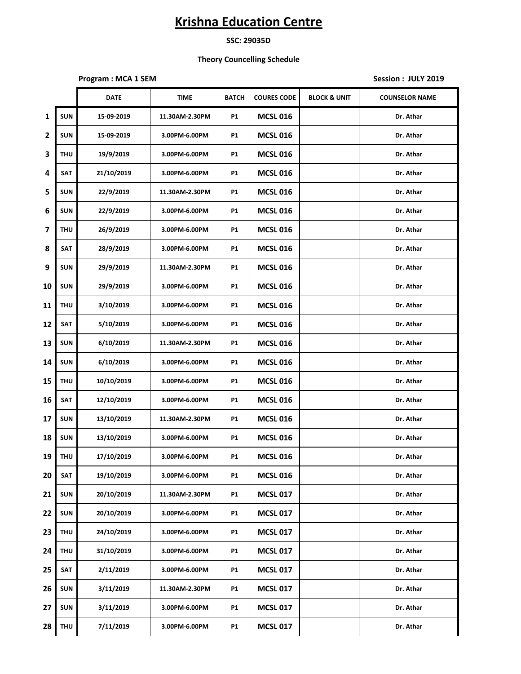### **SSC: 29035D**

### **Theory Councelling Schedule**

**Program : MCA 1 SEM Session : JULY 2019** 

|                |            | <b>DATE</b> | <b>TIME</b>    | <b>BATCH</b> | <b>COURES CODE</b> | <b>BLOCK &amp; UNIT</b> | <b>COUNSELOR NAME</b> |
|----------------|------------|-------------|----------------|--------------|--------------------|-------------------------|-----------------------|
| 1              | <b>SUN</b> | 15-09-2019  | 11.30AM-2.30PM | P1           | <b>MCSL 016</b>    |                         | Dr. Athar             |
| $\overline{2}$ | <b>SUN</b> | 15-09-2019  | 3.00PM-6.00PM  | P1           | <b>MCSL 016</b>    |                         | Dr. Athar             |
| 3              | <b>THU</b> | 19/9/2019   | 3.00PM-6.00PM  | P1           | <b>MCSL 016</b>    |                         | Dr. Athar             |
| 4              | <b>SAT</b> | 21/10/2019  | 3.00PM-6.00PM  | P1           | <b>MCSL 016</b>    |                         | Dr. Athar             |
| 5              | <b>SUN</b> | 22/9/2019   | 11.30AM-2.30PM | <b>P1</b>    | <b>MCSL 016</b>    |                         | Dr. Athar             |
| 6              | <b>SUN</b> | 22/9/2019   | 3.00PM-6.00PM  | <b>P1</b>    | <b>MCSL 016</b>    |                         | Dr. Athar             |
| 7              | <b>THU</b> | 26/9/2019   | 3.00PM-6.00PM  | P1           | <b>MCSL 016</b>    |                         | Dr. Athar             |
| 8              | SAT        | 28/9/2019   | 3.00PM-6.00PM  | P1           | <b>MCSL 016</b>    |                         | Dr. Athar             |
| 9              | <b>SUN</b> | 29/9/2019   | 11.30AM-2.30PM | P1           | <b>MCSL 016</b>    |                         | Dr. Athar             |
| 10             | <b>SUN</b> | 29/9/2019   | 3.00PM-6.00PM  | <b>P1</b>    | <b>MCSL 016</b>    |                         | Dr. Athar             |
| 11             | <b>THU</b> | 3/10/2019   | 3.00PM-6.00PM  | P1           | <b>MCSL 016</b>    |                         | Dr. Athar             |
| 12             | SAT        | 5/10/2019   | 3.00PM-6.00PM  | P1           | <b>MCSL 016</b>    |                         | Dr. Athar             |
| 13             | <b>SUN</b> | 6/10/2019   | 11.30AM-2.30PM | P1           | <b>MCSL 016</b>    |                         | Dr. Athar             |
| 14             | SUN        | 6/10/2019   | 3.00PM-6.00PM  | P1           | <b>MCSL 016</b>    |                         | Dr. Athar             |
| 15             | <b>THU</b> | 10/10/2019  | 3.00PM-6.00PM  | <b>P1</b>    | <b>MCSL 016</b>    |                         | Dr. Athar             |
| 16             | <b>SAT</b> | 12/10/2019  | 3.00PM-6.00PM  | <b>P1</b>    | <b>MCSL 016</b>    |                         | Dr. Athar             |
| 17             | <b>SUN</b> | 13/10/2019  | 11.30AM-2.30PM | <b>P1</b>    | <b>MCSL 016</b>    |                         | Dr. Athar             |
| 18             | <b>SUN</b> | 13/10/2019  | 3.00PM-6.00PM  | P1           | <b>MCSL 016</b>    |                         | Dr. Athar             |
| 19             | <b>THU</b> | 17/10/2019  | 3.00PM-6.00PM  | P1           | <b>MCSL 016</b>    |                         | Dr. Athar             |
| 20             | SAT        | 19/10/2019  | 3.00PM-6.00PM  | <b>P1</b>    | <b>MCSL 016</b>    |                         | Dr. Athar             |
| 21             | <b>SUN</b> | 20/10/2019  | 11.30AM-2.30PM | <b>P1</b>    | <b>MCSL 017</b>    |                         | Dr. Athar             |
| 22             | <b>SUN</b> | 20/10/2019  | 3.00PM-6.00PM  | <b>P1</b>    | <b>MCSL 017</b>    |                         | Dr. Athar             |
| 23             | <b>THU</b> | 24/10/2019  | 3.00PM-6.00PM  | <b>P1</b>    | <b>MCSL 017</b>    |                         | Dr. Athar             |
| 24             | THU        | 31/10/2019  | 3.00PM-6.00PM  | P1           | <b>MCSL 017</b>    |                         | Dr. Athar             |
| 25             | SAT        | 2/11/2019   | 3.00PM-6.00PM  | <b>P1</b>    | <b>MCSL 017</b>    |                         | Dr. Athar             |
| 26             | <b>SUN</b> | 3/11/2019   | 11.30AM-2.30PM | <b>P1</b>    | <b>MCSL 017</b>    |                         | Dr. Athar             |
| 27             | <b>SUN</b> | 3/11/2019   | 3.00PM-6.00PM  | <b>P1</b>    | <b>MCSL 017</b>    |                         | Dr. Athar             |
| 28             | <b>THU</b> | 7/11/2019   | 3.00PM-6.00PM  | P1           | <b>MCSL 017</b>    |                         | Dr. Athar             |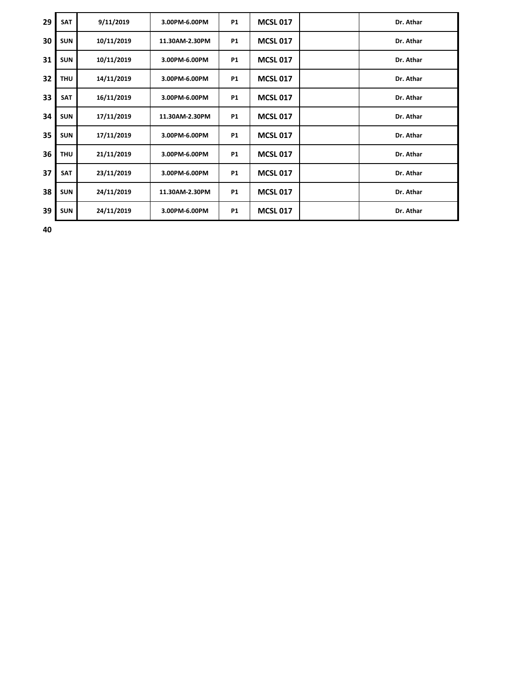| 29 | SAT        | 9/11/2019  | 3.00PM-6.00PM  | <b>P1</b> | <b>MCSL 017</b> | Dr. Athar |
|----|------------|------------|----------------|-----------|-----------------|-----------|
| 30 | <b>SUN</b> | 10/11/2019 | 11.30AM-2.30PM | <b>P1</b> | <b>MCSL 017</b> | Dr. Athar |
| 31 | <b>SUN</b> | 10/11/2019 | 3.00PM-6.00PM  | <b>P1</b> | <b>MCSL 017</b> | Dr. Athar |
| 32 | <b>THU</b> | 14/11/2019 | 3.00PM-6.00PM  | <b>P1</b> | <b>MCSL 017</b> | Dr. Athar |
| 33 | <b>SAT</b> | 16/11/2019 | 3.00PM-6.00PM  | <b>P1</b> | <b>MCSL 017</b> | Dr. Athar |
| 34 | <b>SUN</b> | 17/11/2019 | 11.30AM-2.30PM | <b>P1</b> | <b>MCSL 017</b> | Dr. Athar |
| 35 | <b>SUN</b> | 17/11/2019 | 3.00PM-6.00PM  | <b>P1</b> | <b>MCSL 017</b> | Dr. Athar |
| 36 | <b>THU</b> | 21/11/2019 | 3.00PM-6.00PM  | <b>P1</b> | <b>MCSL 017</b> | Dr. Athar |
| 37 | SAT        | 23/11/2019 | 3.00PM-6.00PM  | <b>P1</b> | <b>MCSL 017</b> | Dr. Athar |
| 38 | <b>SUN</b> | 24/11/2019 | 11.30AM-2.30PM | <b>P1</b> | <b>MCSL 017</b> | Dr. Athar |
| 39 | <b>SUN</b> | 24/11/2019 | 3.00PM-6.00PM  | <b>P1</b> | <b>MCSL 017</b> | Dr. Athar |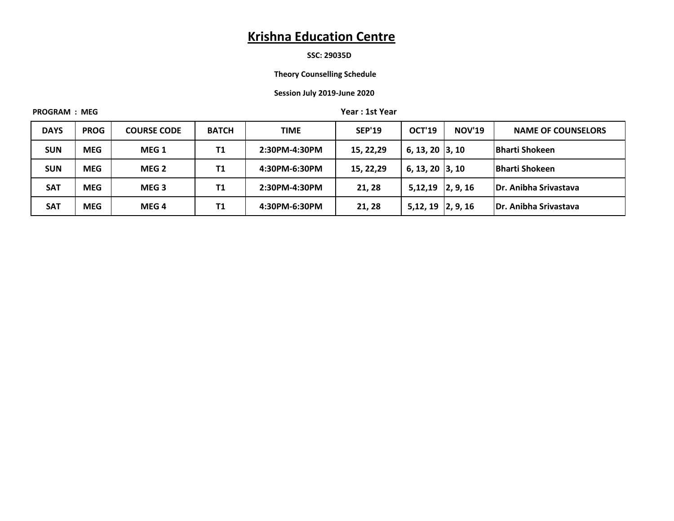### **SSC: 29035D**

### **Theory Counselling Schedule**

#### **Session July 2019-June 2020**

**PROGRAM : MEG Year : 1st Year**

| <b>DAYS</b> | <b>PROG</b> | <b>COURSE CODE</b> | <b>BATCH</b> | <b>TIME</b>   | <b>SEP'19</b> | <b>OCT'19</b>      | <b>NOV'19</b> | <b>NAME OF COUNSELORS</b>     |
|-------------|-------------|--------------------|--------------|---------------|---------------|--------------------|---------------|-------------------------------|
| <b>SUN</b>  | <b>MEG</b>  | MEG 1              | T1           | 2:30PM-4:30PM | 15, 22, 29    | $6, 13, 20$ 3, 10  |               | <b>IBharti Shokeen</b>        |
| <b>SUN</b>  | <b>MEG</b>  | MEG 2              | T1           | 4:30PM-6:30PM | 15, 22, 29    | $6, 13, 20$ 3, 10  |               | <b>Bharti Shokeen</b>         |
| <b>SAT</b>  | <b>MEG</b>  | MEG <sub>3</sub>   | T1           | 2:30PM-4:30PM | 21, 28        | $5,12,19$ 2, 9, 16 |               | <b>IDr. Anibha Srivastava</b> |
| <b>SAT</b>  | <b>MEG</b>  | MEG 4              | T1           | 4:30PM-6:30PM | 21, 28        | $5,12,19$ 2, 9, 16 |               | <b>IDr. Anibha Srivastava</b> |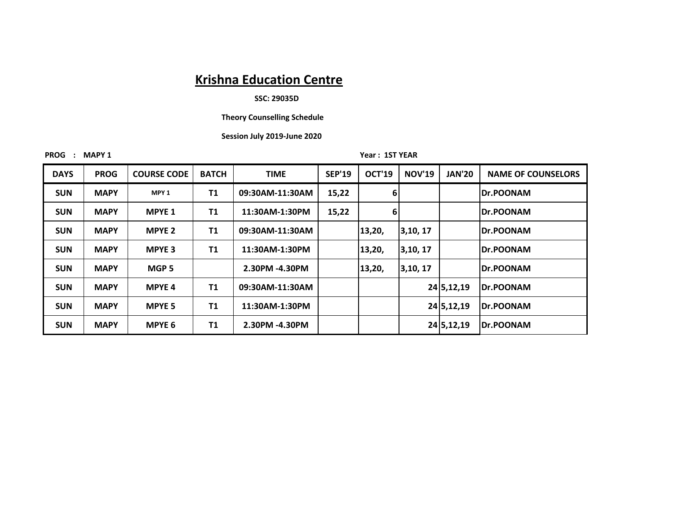### **SSC: 29035D**

#### **Theory Counselling Schedule**

 **Session July 2019-June 2020**

**PROG : MAPY 1 Year : 1ST YEAR**

| <b>DAYS</b> | <b>PROG</b> | <b>COURSE CODE</b> | <b>BATCH</b> | <b>TIME</b>     | <b>SEP'19</b> | <b>OCT'19</b> | <b>NOV'19</b> | <b>JAN'20</b> | <b>NAME OF COUNSELORS</b> |
|-------------|-------------|--------------------|--------------|-----------------|---------------|---------------|---------------|---------------|---------------------------|
| <b>SUN</b>  | <b>MAPY</b> | MPY 1              | T1           | 09:30AM-11:30AM | 15,22         | 6             |               |               | <b>Dr.POONAM</b>          |
| <b>SUN</b>  | <b>MAPY</b> | <b>MPYE 1</b>      | <b>T1</b>    | 11:30AM-1:30PM  | 15,22         | 6             |               |               | <b>Dr.POONAM</b>          |
| <b>SUN</b>  | <b>MAPY</b> | <b>MPYE 2</b>      | T1           | 09:30AM-11:30AM |               | 13,20,        | 3,10,17       |               | <b>Dr.POONAM</b>          |
| <b>SUN</b>  | <b>MAPY</b> | <b>MPYE 3</b>      | <b>T1</b>    | 11:30AM-1:30PM  |               | 13,20,        | 3,10,17       |               | <b>Dr.POONAM</b>          |
| <b>SUN</b>  | <b>MAPY</b> | MGP <sub>5</sub>   |              | 2.30PM -4.30PM  |               | 13,20,        | 3,10,17       |               | <b>Dr.POONAM</b>          |
| <b>SUN</b>  | <b>MAPY</b> | <b>MPYE 4</b>      | <b>T1</b>    | 09:30AM-11:30AM |               |               |               | 24 5, 12, 19  | <b>IDr.POONAM</b>         |
| <b>SUN</b>  | <b>MAPY</b> | <b>MPYE 5</b>      | <b>T1</b>    | 11:30AM-1:30PM  |               |               |               | 24 5, 12, 19  | <b>Dr.POONAM</b>          |
| <b>SUN</b>  | <b>MAPY</b> | <b>MPYE 6</b>      | <b>T1</b>    | 2.30PM -4.30PM  |               |               |               | 24 5, 12, 19  | <b>IDr.POONAM</b>         |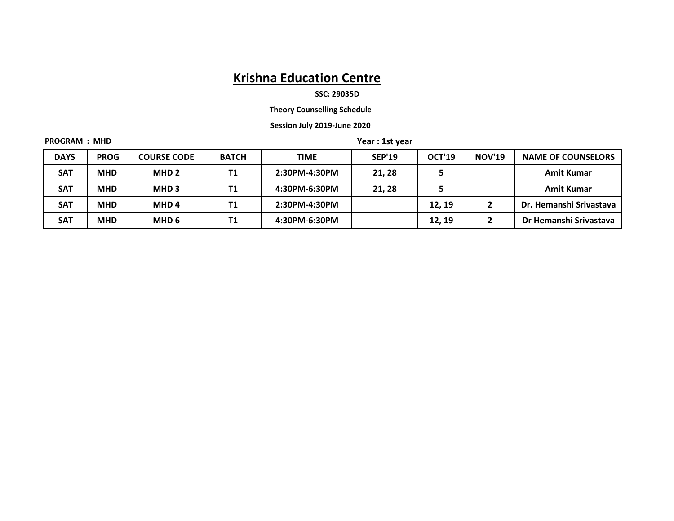#### **SSC: 29035D**

 **Theory Counselling Schedule**

 **Session July 2019-June 2020**

| <b>PROGRAM: MHD</b> |             |                    |              |               | Year: 1st year |               |               |                           |  |  |
|---------------------|-------------|--------------------|--------------|---------------|----------------|---------------|---------------|---------------------------|--|--|
| <b>DAYS</b>         | <b>PROG</b> | <b>COURSE CODE</b> | <b>BATCH</b> | TIME          | <b>SEP'19</b>  | <b>OCT'19</b> | <b>NOV'19</b> | <b>NAME OF COUNSELORS</b> |  |  |
| <b>SAT</b>          | <b>MHD</b>  | MHD <sub>2</sub>   | T1           | 2:30PM-4:30PM | 21.28          |               |               | Amit Kumar                |  |  |
| <b>SAT</b>          | <b>MHD</b>  | MHD <sub>3</sub>   | Τ1           | 4:30PM-6:30PM | 21, 28         |               |               | <b>Amit Kumar</b>         |  |  |
| <b>SAT</b>          | <b>MHD</b>  | MHD 4              | Τ1           | 2:30PM-4:30PM |                | 12, 19        |               | Dr. Hemanshi Srivastava   |  |  |
| <b>SAT</b>          | <b>MHD</b>  | MHD 6              | Τ1           | 4:30PM-6:30PM |                | 12, 19        |               | Dr Hemanshi Srivastava    |  |  |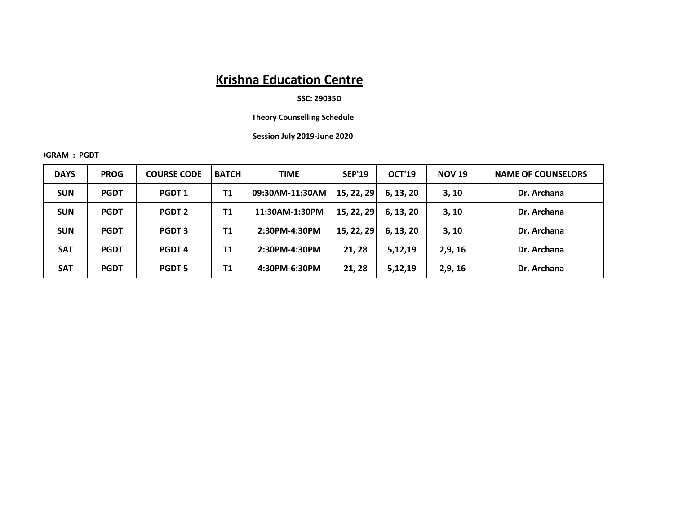### **SSC: 29035D**

#### **Theory Counselling Schedule**

### **Session July 2019-June 2020**

**PROGRAM : PGDT** 

| <b>DAYS</b> | <b>PROG</b> | <b>COURSE CODE</b> | <b>BATCH</b> | <b>TIME</b>     | <b>SEP'19</b> | <b>OCT'19</b> | <b>NOV'19</b> | <b>NAME OF COUNSELORS</b> |
|-------------|-------------|--------------------|--------------|-----------------|---------------|---------------|---------------|---------------------------|
| <b>SUN</b>  | <b>PGDT</b> | PGDT 1             | <b>T1</b>    | 09:30AM-11:30AM | 15, 22, 29    | 6, 13, 20     | 3, 10         | Dr. Archana               |
| <b>SUN</b>  | <b>PGDT</b> | <b>PGDT 2</b>      | <b>T1</b>    | 11:30AM-1:30PM  | 15, 22, 29    | 6, 13, 20     | 3, 10         | Dr. Archana               |
| <b>SUN</b>  | <b>PGDT</b> | PGDT <sub>3</sub>  | <b>T1</b>    | 2:30PM-4:30PM   | 15, 22, 29    | 6, 13, 20     | 3, 10         | Dr. Archana               |
| <b>SAT</b>  | <b>PGDT</b> | PGDT <sub>4</sub>  | <b>T1</b>    | 2:30PM-4:30PM   | 21, 28        | 5,12,19       | 2,9,16        | Dr. Archana               |
| <b>SAT</b>  | <b>PGDT</b> | <b>PGDT 5</b>      | <b>T1</b>    | 4:30PM-6:30PM   | 21, 28        | 5,12,19       | 2,9,16        | Dr. Archana               |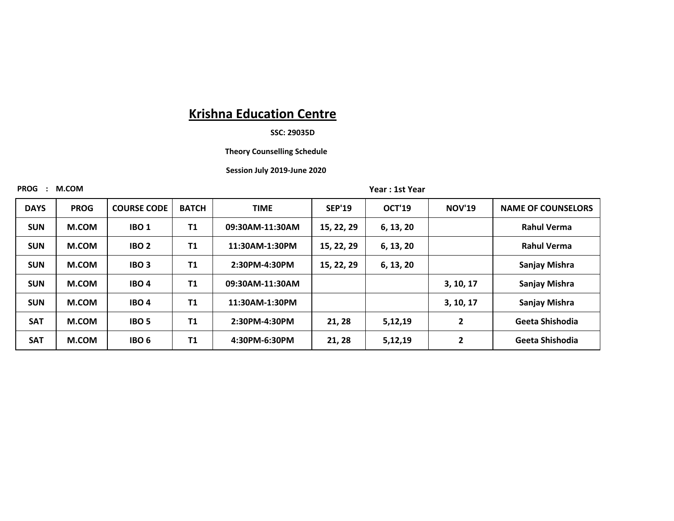### **SSC: 29035D**

### **Theory Counselling Schedule**

#### **Session July 2019-June 2020**

**PROG : M.COM** 

**Year : 1st Year**

| <b>DAYS</b> | <b>PROG</b> | <b>COURSE CODE</b> | <b>BATCH</b>   | <b>TIME</b>     | <b>SEP'19</b> | <b>OCT'19</b> | <b>NOV'19</b>  | <b>NAME OF COUNSELORS</b> |
|-------------|-------------|--------------------|----------------|-----------------|---------------|---------------|----------------|---------------------------|
| <b>SUN</b>  | M.COM       | <b>IBO1</b>        | T1             | 09:30AM-11:30AM | 15, 22, 29    | 6, 13, 20     |                | <b>Rahul Verma</b>        |
| <b>SUN</b>  | M.COM       | <b>IBO 2</b>       | T <sub>1</sub> | 11:30AM-1:30PM  | 15, 22, 29    | 6, 13, 20     |                | <b>Rahul Verma</b>        |
| <b>SUN</b>  | M.COM       | IBO <sub>3</sub>   | <b>T1</b>      | 2:30PM-4:30PM   | 15, 22, 29    | 6, 13, 20     |                | Sanjay Mishra             |
| <b>SUN</b>  | M.COM       | IBO <sub>4</sub>   | <b>T1</b>      | 09:30AM-11:30AM |               |               | 3, 10, 17      | Sanjay Mishra             |
| <b>SUN</b>  | M.COM       | IBO <sub>4</sub>   | T1             | 11:30AM-1:30PM  |               |               | 3, 10, 17      | Sanjay Mishra             |
| <b>SAT</b>  | M.COM       | <b>IBO 5</b>       | T1             | 2:30PM-4:30PM   | 21, 28        | 5,12,19       | $\overline{2}$ | Geeta Shishodia           |
| <b>SAT</b>  | M.COM       | IBO <sub>6</sub>   | <b>T1</b>      | 4:30PM-6:30PM   | 21, 28        | 5,12,19       | 2              | Geeta Shishodia           |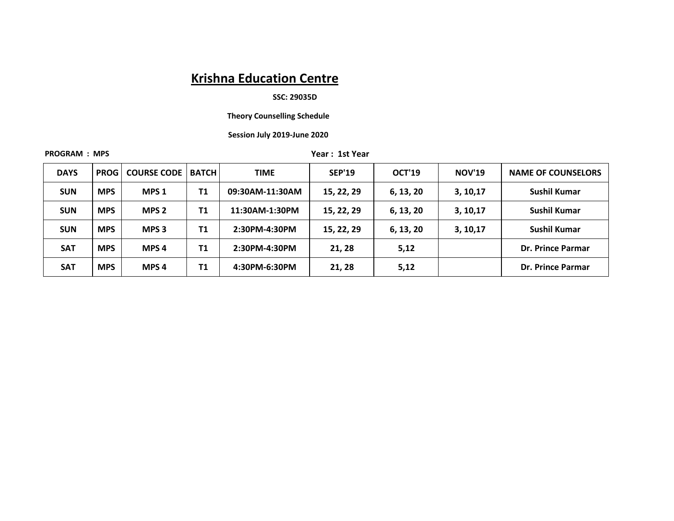### **SSC: 29035D**

### **Theory Counselling Schedule**

 **Session July 2019-June 2020**

| <b>PROGRAM : MPS</b> |  |  |  |
|----------------------|--|--|--|
|----------------------|--|--|--|

**Year: 1st Year** 

| <b>DAYS</b> | <b>PROG</b> | <b>COURSE CODE</b> | <b>BATCHI</b>  | <b>TIME</b>     | <b>SEP'19</b> | OCT'19    | <b>NOV'19</b> | <b>NAME OF COUNSELORS</b> |
|-------------|-------------|--------------------|----------------|-----------------|---------------|-----------|---------------|---------------------------|
| <b>SUN</b>  | <b>MPS</b>  | MPS <sub>1</sub>   | T1             | 09:30AM-11:30AM | 15, 22, 29    | 6, 13, 20 | 3, 10, 17     | <b>Sushil Kumar</b>       |
| <b>SUN</b>  | <b>MPS</b>  | MPS <sub>2</sub>   | T1             | 11:30AM-1:30PM  | 15, 22, 29    | 6, 13, 20 | 3, 10, 17     | Sushil Kumar              |
| <b>SUN</b>  | <b>MPS</b>  | MPS <sub>3</sub>   | T1             | 2:30PM-4:30PM   | 15, 22, 29    | 6, 13, 20 | 3, 10, 17     | Sushil Kumar              |
| <b>SAT</b>  | <b>MPS</b>  | MPS <sub>4</sub>   | T <sub>1</sub> | 2:30PM-4:30PM   | 21, 28        | 5,12      |               | <b>Dr. Prince Parmar</b>  |
| <b>SAT</b>  | <b>MPS</b>  | MPS <sub>4</sub>   | T1             | 4:30PM-6:30PM   | 21, 28        | 5,12      |               | <b>Dr. Prince Parmar</b>  |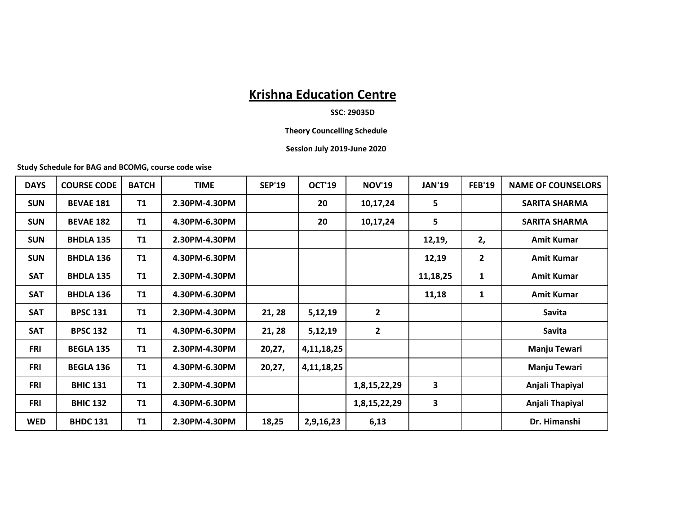#### **SSC: 29035D**

#### **Theory Councelling Schedule**

#### **Session July 2019-June 2020**

**Study Schedule for BAG and BCOMG, course code wise**

| <b>DAYS</b> | <b>COURSE CODE</b> | <b>BATCH</b> | <b>TIME</b>   | <b>SEP'19</b> | <b>OCT'19</b> | <b>NOV'19</b>  | <b>JAN'19</b> | <b>FEB'19</b>  | <b>NAME OF COUNSELORS</b> |
|-------------|--------------------|--------------|---------------|---------------|---------------|----------------|---------------|----------------|---------------------------|
| <b>SUN</b>  | <b>BEVAE 181</b>   | <b>T1</b>    | 2.30PM-4.30PM |               | 20            | 10,17,24       | 5             |                | <b>SARITA SHARMA</b>      |
| <b>SUN</b>  | <b>BEVAE 182</b>   | <b>T1</b>    | 4.30PM-6.30PM |               | 20            | 10,17,24       | 5             |                | <b>SARITA SHARMA</b>      |
| <b>SUN</b>  | <b>BHDLA 135</b>   | T1           | 2.30PM-4.30PM |               |               |                | 12,19,        | 2,             | <b>Amit Kumar</b>         |
| <b>SUN</b>  | <b>BHDLA 136</b>   | <b>T1</b>    | 4.30PM-6.30PM |               |               |                | 12,19         | $\overline{2}$ | <b>Amit Kumar</b>         |
| <b>SAT</b>  | <b>BHDLA 135</b>   | <b>T1</b>    | 2.30PM-4.30PM |               |               |                | 11,18,25      | 1              | <b>Amit Kumar</b>         |
| <b>SAT</b>  | <b>BHDLA 136</b>   | <b>T1</b>    | 4.30PM-6.30PM |               |               |                | 11,18         | $\mathbf{1}$   | <b>Amit Kumar</b>         |
| <b>SAT</b>  | <b>BPSC 131</b>    | T1           | 2.30PM-4.30PM | 21, 28        | 5,12,19       | $\overline{2}$ |               |                | Savita                    |
| <b>SAT</b>  | <b>BPSC 132</b>    | T1           | 4.30PM-6.30PM | 21, 28        | 5,12,19       | $\mathbf{2}$   |               |                | Savita                    |
| <b>FRI</b>  | <b>BEGLA 135</b>   | T1           | 2.30PM-4.30PM | 20,27,        | 4, 11, 18, 25 |                |               |                | Manju Tewari              |
| <b>FRI</b>  | <b>BEGLA 136</b>   | T1           | 4.30PM-6.30PM | 20,27,        | 4, 11, 18, 25 |                |               |                | Manju Tewari              |
| <b>FRI</b>  | <b>BHIC 131</b>    | <b>T1</b>    | 2.30PM-4.30PM |               |               | 1,8,15,22,29   | 3             |                | Anjali Thapiyal           |
| <b>FRI</b>  | <b>BHIC 132</b>    | <b>T1</b>    | 4.30PM-6.30PM |               |               | 1,8,15,22,29   | 3             |                | Anjali Thapiyal           |
| <b>WED</b>  | <b>BHDC 131</b>    | T1           | 2.30PM-4.30PM | 18,25         | 2,9,16,23     | 6,13           |               |                | Dr. Himanshi              |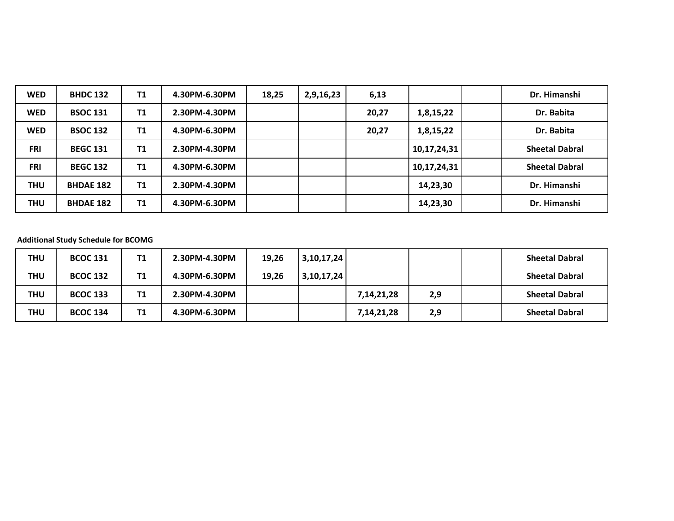| <b>WED</b> | <b>BHDC 132</b>  | <b>T1</b> | 4.30PM-6.30PM | 18,25 | 2,9,16,23 | 6,13  |             | Dr. Himanshi          |
|------------|------------------|-----------|---------------|-------|-----------|-------|-------------|-----------------------|
| <b>WED</b> | <b>BSOC 131</b>  | T1        | 2.30PM-4.30PM |       |           | 20,27 | 1,8,15,22   | Dr. Babita            |
| <b>WED</b> | <b>BSOC 132</b>  | <b>T1</b> | 4.30PM-6.30PM |       |           | 20,27 | 1,8,15,22   | Dr. Babita            |
| <b>FRI</b> | <b>BEGC 131</b>  | <b>T1</b> | 2.30PM-4.30PM |       |           |       | 10,17,24,31 | <b>Sheetal Dabral</b> |
| <b>FRI</b> | <b>BEGC 132</b>  | T1        | 4.30PM-6.30PM |       |           |       | 10,17,24,31 | <b>Sheetal Dabral</b> |
| THU        | <b>BHDAE 182</b> | <b>T1</b> | 2.30PM-4.30PM |       |           |       | 14,23,30    | Dr. Himanshi          |
| THU        | <b>BHDAE 182</b> | T1        | 4.30PM-6.30PM |       |           |       | 14,23,30    | Dr. Himanshi          |

**Additional Study Schedule for BCOMG**

| <b>THU</b> | <b>BCOC 131</b> | T <sub>1</sub><br>. . | 2.30PM-4.30PM | 19,26 | 3,10,17,24 |               |     | <b>Sheetal Dabral</b> |
|------------|-----------------|-----------------------|---------------|-------|------------|---------------|-----|-----------------------|
| THU        | <b>BCOC 132</b> | T1                    | 4.30PM-6.30PM | 19,26 | 3,10,17,24 |               |     | <b>Sheetal Dabral</b> |
| THU        | <b>BCOC 133</b> | <b>T1</b>             | 2.30PM-4.30PM |       |            | 7, 14, 21, 28 | 2,9 | <b>Sheetal Dabral</b> |
| THU        | <b>BCOC 134</b> | <b>T1</b>             | 4.30PM-6.30PM |       |            | 7, 14, 21, 28 | 2,9 | <b>Sheetal Dabral</b> |